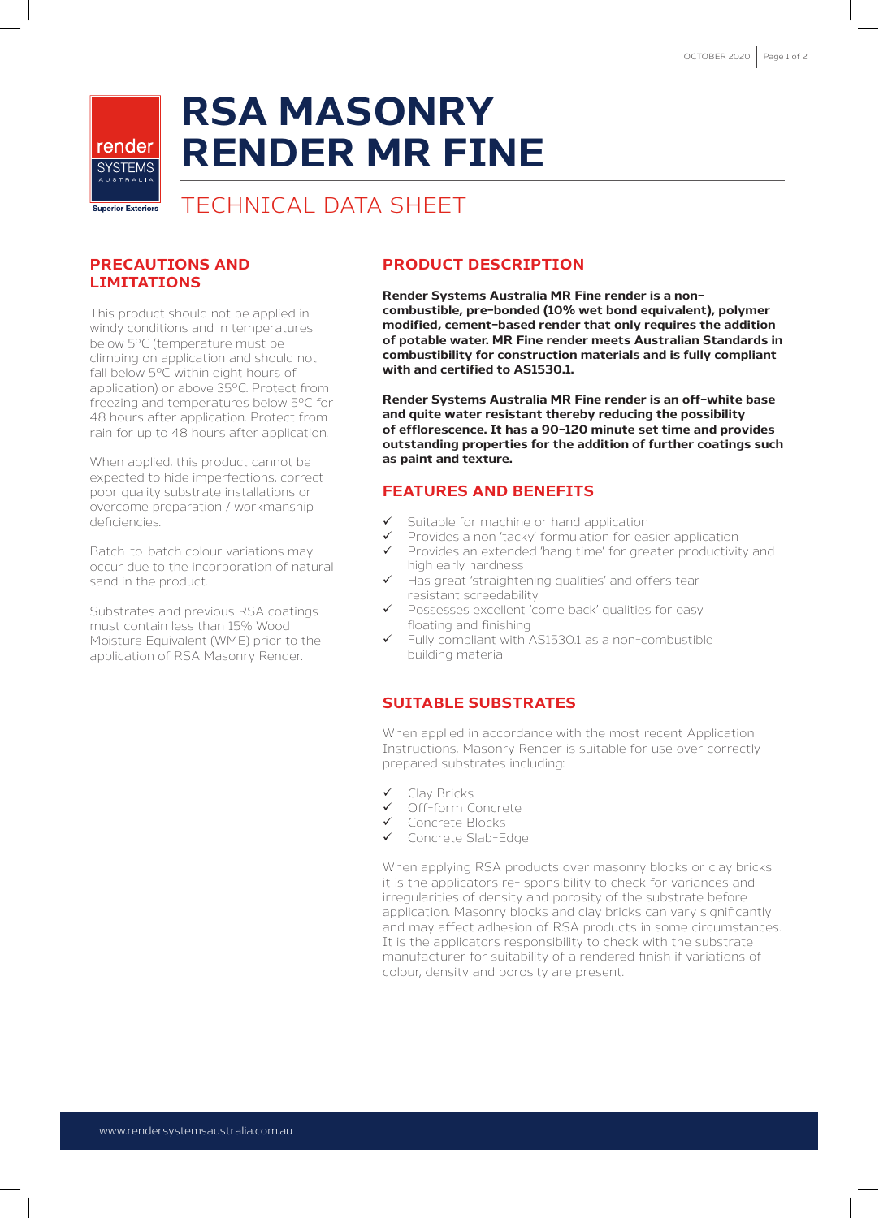# **RSA MASONRY RENDER MR FINE**

TECHNICAL DATA SHEET

#### **PRECAUTIONS AND LIMITATIONS**

render **SYSTEMS** 

Superior Exteriors

This product should not be applied in windy conditions and in temperatures below 5ºC (temperature must be climbing on application and should not fall below 5ºC within eight hours of application) or above 35ºC. Protect from freezing and temperatures below 5ºC for 48 hours after application. Protect from rain for up to 48 hours after application.

When applied, this product cannot be expected to hide imperfections, correct poor quality substrate installations or overcome preparation / workmanship deficiencies

Batch-to-batch colour variations may occur due to the incorporation of natural sand in the product.

Substrates and previous RSA coatings must contain less than 15% Wood Moisture Equivalent (WME) prior to the application of RSA Masonry Render.

## **PRODUCT DESCRIPTION**

**Render Systems Australia MR Fine render is a noncombustible, pre-bonded (10% wet bond equivalent), polymer modified, cement-based render that only requires the addition of potable water. MR Fine render meets Australian Standards in combustibility for construction materials and is fully compliant with and certified to AS1530.1.**

**Render Systems Australia MR Fine render is an off-white base and quite water resistant thereby reducing the possibility of efflorescence. It has a 90-120 minute set time and provides outstanding properties for the addition of further coatings such as paint and texture.** 

## **FEATURES AND BENEFITS**

- Suitable for machine or hand application
	- Provides a non 'tacky' formulation for easier application
- $\checkmark$  Provides an extended 'hang time' for greater productivity and high early hardness
- Has great 'straightening qualities' and offers tear resistant screedability
- Possesses excellent 'come back' qualities for easy floating and finishing
- Fully compliant with AS1530.1 as a non-combustible building material

#### **SUITABLE SUBSTRATES**

When applied in accordance with the most recent Application Instructions, Masonry Render is suitable for use over correctly prepared substrates including:

- Clay Bricks
- Off-form Concrete
- Concrete Blocks
- Concrete Slab-Edge

When applying RSA products over masonry blocks or clay bricks it is the applicators re- sponsibility to check for variances and irregularities of density and porosity of the substrate before application. Masonry blocks and clay bricks can vary significantly and may affect adhesion of RSA products in some circumstances. It is the applicators responsibility to check with the substrate manufacturer for suitability of a rendered finish if variations of colour, density and porosity are present.